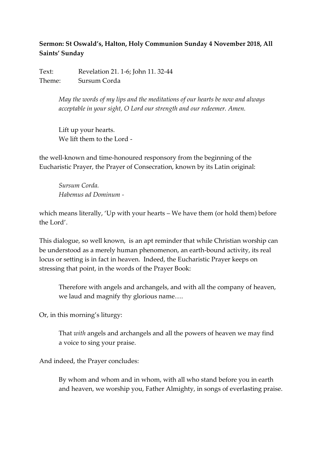## **Sermon: St Oswald's, Halton, Holy Communion Sunday 4 November 2018, All Saints' Sunday**

Text: Revelation 21. 1-6; John 11. 32-44 Theme: Sursum Corda

> *May the words of my lips and the meditations of our hearts be now and always acceptable in your sight, O Lord our strength and our redeemer. Amen.*

Lift up your hearts. We lift them to the Lord -

the well-known and time-honoured responsory from the beginning of the Eucharistic Prayer, the Prayer of Consecration, known by its Latin original:

*Sursum Corda. Habemus ad Dominum -*

which means literally, 'Up with your hearts – We have them (or hold them) before the Lord'.

This dialogue, so well known, is an apt reminder that while Christian worship can be understood as a merely human phenomenon, an earth-bound activity, its real locus or setting is in fact in heaven. Indeed, the Eucharistic Prayer keeps on stressing that point, in the words of the Prayer Book:

Therefore with angels and archangels, and with all the company of heaven, we laud and magnify thy glorious name….

Or, in this morning's liturgy:

That *with* angels and archangels and all the powers of heaven we may find a voice to sing your praise.

And indeed, the Prayer concludes:

By whom and whom and in whom, with all who stand before you in earth and heaven, we worship you, Father Almighty, in songs of everlasting praise.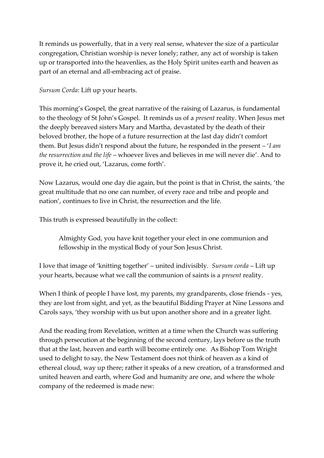It reminds us powerfully, that in a very real sense, whatever the size of a particular congregation, Christian worship is never lonely; rather, any act of worship is taken up or transported into the heavenlies, as the Holy Spirit unites earth and heaven as part of an eternal and all-embracing act of praise.

*Sursum Corda*: Lift up your hearts.

This morning's Gospel, the great narrative of the raising of Lazarus, is fundamental to the theology of St John's Gospel. It reminds us of a *present* reality. When Jesus met the deeply bereaved sisters Mary and Martha, devastated by the death of their beloved brother, the hope of a future resurrection at the last day didn't comfort them. But Jesus didn't respond about the future, he responded in the present – '*I am the resurrection and the life* – whoever lives and believes in me will never die'. And to prove it, he cried out, 'Lazarus, come forth'.

Now Lazarus, would one day die again, but the point is that in Christ, the saints, 'the great multitude that no one can number, of every race and tribe and people and nation', continues to live in Christ, the resurrection and the life.

This truth is expressed beautifully in the collect:

Almighty God, you have knit together your elect in one communion and fellowship in the mystical Body of your Son Jesus Christ.

I love that image of 'knitting together' – united indivisibly. *Sursum corda* – Lift up your hearts, because what we call the communion of saints is a *present* reality.

When I think of people I have lost, my parents, my grandparents, close friends - yes, they are lost from sight, and yet, as the beautiful Bidding Prayer at Nine Lessons and Carols says, 'they worship with us but upon another shore and in a greater light.

And the reading from Revelation, written at a time when the Church was suffering through persecution at the beginning of the second century, lays before us the truth that at the last, heaven and earth will become entirely one. As Bishop Tom Wright used to delight to say, the New Testament does not think of heaven as a kind of ethereal cloud, way up there; rather it speaks of a new creation, of a transformed and united heaven and earth, where God and humanity are one, and where the whole company of the redeemed is made new: